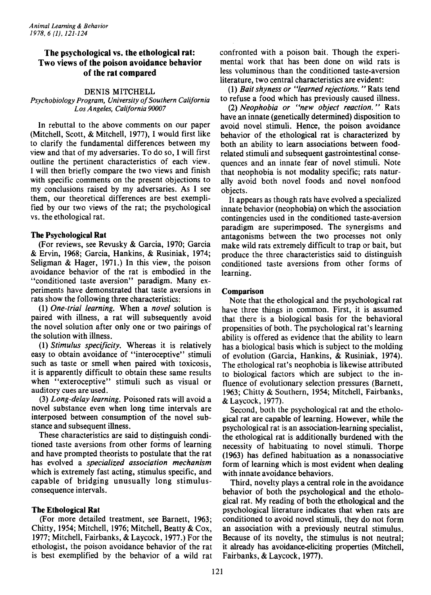# The psychological vs. the ethological rat: Two views of the poison avoidance behavior of the rat compared

### DENIS MITCHELL

### *Psychobiology Program, University ofSouthern California Los Angeles, California 90007*

In rebuttal to the above comments on our paper (Mitchell, Scott, & Mitchell, 1977), I would first like to clarify the fundamental differences between my view and that of my adversaries. To do so, I will first outline the pertinent characteristics of each view. I will then briefly compare the two views and finish with specific comments on the present objections to my conclusions raised by my adversaries. As I see them, our theoretical differences are best exemplified by our two views of the rat; the psychological vs. the ethological rat.

## The Psychological Rat

(For reviews, see Revusky & Garcia, 1970; Garcia & Ervin, 1968; Garcia, Hankins, & Rusiniak, 1974; Seligman & Hager, 1971.) In this view, the poison avoidance behavior of the rat is embodied in the "conditioned taste aversion" paradigm. Many experiments have demonstrated that taste aversions in rats show the following three characteristics:

(1) *One-trial learning.* When a *novel* solution is paired with illness, a rat will subsequently avoid the novel solution after only one or two pairings of the solution with illness.

(1) *Stimulus specificity.* Whereas it is relatively easy to obtain avoidance of "interoceptive" stimuli such as taste or smell when paired with toxicosis, it is apparently difficult to obtain these same results when "exteroceptive" stimuli such as visual or auditory cues are used.

*(3) Long-delay learning.* Poisoned rats will avoid a novel substance even when long time intervals are interposed between consumption of the novel substance and subsequent illness.

These characteristics are said to distinguish conditioned taste aversions from other forms of learning and have prompted theorists to postulate that the rat has evolved a *specialized association mechanism* which is extremely fast acting, stimulus specific, and capable of bridging unusually long stimulusconsequence intervals.

# The Ethological Rat

(For more detailed treatment, see Barnett, 1963; Chitty, 1954; Mitchell, 1976; Mitchell, Beatty & Cox, 1977; Mitchell, Fairbanks, & Laycock, 1977.) For the ethologist, the poison avoidance behavior of the rat is best exemplified by the behavior of a wild rat confronted with a poison bait. Though the experimental work that has been done on wild rats is less voluminous than the conditioned taste-aversion literature, two central characteristics are evident:

*(1) Bait shyness or "learned rejections.* " Rats tend to refuse a food which has previously caused illness.

*(2) Neophobia or "new object reaction."* Rats have an innate (genetically determined) disposition to avoid novel stimuli. Hence, the poison avoidance behavior of the ethological rat is characterized by both an ability to learn associations between foodrelated stimuli and subsequent gastrointestinal consequences and an innate fear of novel stimuli. Note that neophobia is not modality specific; rats naturally avoid both novel foods and novel nonfood objects.

It appears as though rats have evolved a specialized innate behavior (neophobia) on which the association contingencies used in the conditioned taste-aversion paradigm are superimposed. The synergisms and antagonisms between the two processes not only make wild rats extremely difficult to trap or bait, but produce the three characteristics said to distinguish conditioned taste aversions from other forms of learning.

## Comparison

Note that the ethological and the psychological rat have three things in common. First, it is assumed that there is a biological basis for the behavioral propensities of both. The psychological rat's learning ability is offered as evidence that the ability to learn has a biological basis which is subject to the molding of evolution (Garcia, Hankins, & Rusiniak, 1974). The ethological rat's neophobia is likewise attributed to biological factors which are subject to the influence of evolutionary selection pressures (Barnett, 1963; Chitty & Southern, 1954; Mitchell, Fairbanks, & Laycock, 1977).

Second, both the psychological rat and the ethological rat are capable of learning. However, while the psychological rat is an association-learning specialist, the ethological rat is additionally burdened with the necessity of habituating to novel stimuli. Thorpe (1963) has defined habituation as a nonassociative form of learning which is most evident when dealing with innate avoidance behaviors.

Third, novelty plays a central role in the avoidance behavior of both the psychological and the ethological rat. My reading of both the ethological and the psychological literature indicates that when rats are conditioned to avoid novel stimuli, they do not form an association with a previously neutral stimulus. Because of its novelty, the stimulus is not neutral; it already has avoidance-eliciting properties (Mitchell, Fairbanks, & Laycock, 1977).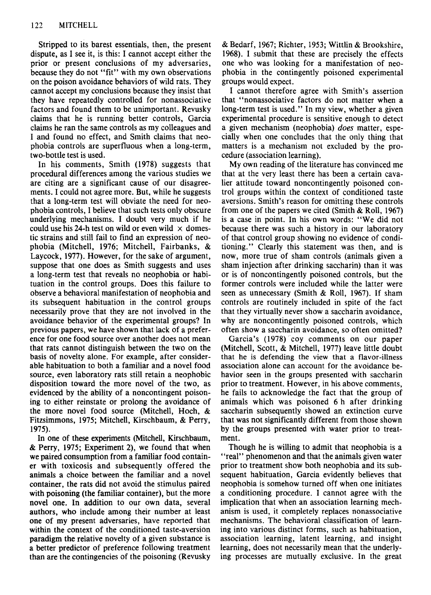Stripped to its barest essentials, then, the present dispute, as I see it, is this: I cannot accept either the prior or present conclusions of my adversaries, because they do not "fit" with my own observations on the poison avoidance behaviors of wild rats. They cannot accept my conclusions because they insist that they have repeatedly controlled for nonassociative factors and found them to be unimportant. Revusky claims that he is running better controls, Garcia claims he ran the same controls as my colleagues and I and found no effect, and Smith claims that neophobia controls are superfluous when a long-term, two-bottle test is used.

In his comments, Smith (1978) suggests that procedural differences among the various studies we are citing are a significant cause of our disagreements. I could not agree more. But, while he suggests that a long-term test will obviate the need for neophobia controls. I believe that such tests only obscure underlying mechanisms. I doubt very much if he could use his 24-h test on wild or even wild  $\times$  domestic strains and still fail to find an expression of neophobia (Mitchell, 1976; Mitchell, Fairbanks, & Laycock, 1977). However, for the sake of argument, suppose that one does as Smith suggests and uses a long-term test that reveals no neophobia or habituation in the control groups. Does this failure to observe a behavioral manifestation of neophobia and its subsequent habituation in the control groups necessarily prove that they are not involved in the avoidance behavior of the experimental groups? In previous papers, we have shown that lack of a preference for one food source over another does not mean that rats cannot distinguish between the two on the basis of novelty alone. For example, after considerable habituation to both a familiar and a novel food source, even laboratory rats still retain a neophobic disposition toward the more novel of the two, as evidenced by the ability of a noncontingent poisoning to either reinstate or prolong the avoidance of the more novel food source (Mitchell, Hoch, & Fitzsimmons, 1975; Mitchell, Kirschbaum, & Perry, 1975).

In one of these experiments (Mitchell, Kirschbaum, & Perry, 1975; Experiment 2), we found that when we paired consumption from a familiar food container with toxicosis and subsequently offered the animals a choice between the familiar and a novel container, the rats did not avoid the stimulus paired with poisoning (the familiar container), but the more novel one. In addition to our own data, several authors, who include among their number at least one of my present adversaries, have reported that within the context of the conditioned taste-aversion paradigm the relative novelty of a given substance is a better predictor of preference following treatment than are the contingencies of the poisoning (Revusky

& Bedarf, 1967; Richter, 1953; Wittlin & Brookshire, 1968). I submit that these are precisely the effects one who was looking for a manifestation of neophobia in the contingently poisoned experimental groups would expect.

I cannot therefore agree with Smith's assertion that "nonassociative factors do not matter when a long-term test is used." In my view, whether a given experimental procedure is sensitive enough to detect a given mechanism (neophobia) *does* matter, especially when one concludes that the only thing that matters is a mechanism not excluded by the procedure (association learning).

My own reading of the literature has convinced me that at the very least there has been a certain cavalier attitude toward noncontingently poisoned control groups within the context of conditioned taste aversions. Smith's reason for omitting these controls from one of the papers we cited (Smith & Roll, 1967) is a case in point. In his own words: "We did not because there was such a history in our laboratory of that control group showing no evidence of conditioning." Clearly this statement was then, and is now, more true of sham controls (animals given a sham injection after drinking saccharin) than it was or is of noncontingently poisoned controls, but the former controls were included while the latter were seen as unnecessary (Smith & Roll, 1967). If sham controls are routinely included in spite of the fact that they virtually never show a saccharin avoidance, why are noncontingently poisoned controls, which often show a saccharin avoidance, so often omitted?

Garcia's (l978) coy comments on our paper (Mitchell, Scott, & Mitchell, 1977) leave little doubt that he is defending the view that a flavor-illness association alone can account for the avoidance behavior seen in the groups presented with saccharin prior to treatment. However, in his above comments, he fails to acknowledge the fact that the group of animals which was poisoned 6 h after drinking saccharin subsequently showed an extinction curve that was not significantly different from those shown by the groups presented with water prior to treatment.

Though he is willing to admit that neophobia is a "real" phenomenon and that the animals given water prior to treatment show both neophobia and its subsequent habituation, Garcia evidently believes that neophobia is somehow turned off when one initiates a conditioning procedure. I cannot agree with the implication that when an association learning mechanism is used, it completely replaces nonassociative mechanisms. The behavioral classification of learning into various distinct forms, such as habituation, association learning, latent learning, and insight learning, does not necessarily mean that the underlying processes are mutually exclusive. In the great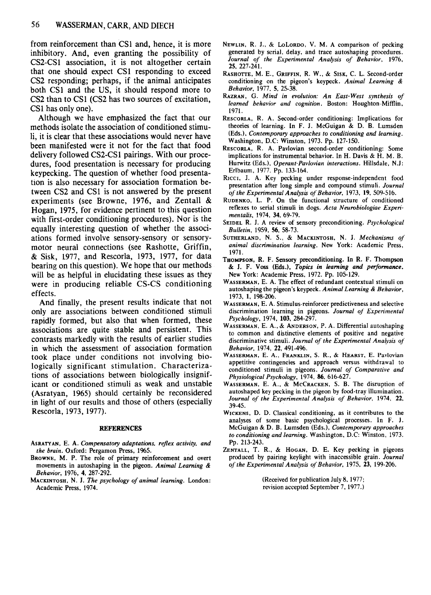from reinforcement than CS1 and, hence, it is more inhibitory. And, even granting the possibility of CS2-CS1 association, it is not altogether certain that one should expect CS1 responding to exceed CS2 responding; perhaps, if the animal anticipates both CSI and the US, it should respond more to CS2 than to CSI (CS2 has two sources of excitation, CS1 has only one).

Although we have emphasized the fact that our methods isolate the association of conditioned stimuli, it is clear that these associations would never have been manifested were it not for the fact that food delivery followed CS2-CS1 pairings. With our procedures, food presentation is necessary for producing keypecking. The question of whether food presentation is also necessary for association formation between CS2 and CS1 is not answered by the present experiments (see Browne, 1976, and Zentall & Hogan, 1975, for evidence pertinent to this question with first-order conditioning procedures). Nor is the equally interesting question of whether the associations formed involve sensory-sensory or sensorymotor neural connections (see Rashotte, Griffin, & Sisk, 1977, and Rescorla, 1973, 1977, for data bearing on this question). We hope that our methods will be as helpful in elucidating these issues as they were in producing reliable CS-CS conditioning effects.

And finally, the present results indicate that not only are associations between conditioned stimuli rapidly formed, but also that when formed, these associations are quite stable and persistent. This contrasts markedly with the results of earlier studies in which the assessment of association formation took place under conditions not involving biologically significant stimulation. Characterizations of associations between biologically insignificant or conditioned stimuli as weak and unstable (Asratyan, 1965) should certainly be reconsidered in light of our results and those of others (especially Rescorla, 1973, 1977).

#### REFERENCES

- ASRATYAN, E. A. *Compensatory adaptations, reflex activity, and the brain.* Oxford: Pergamon Press, 1965.
- BROWNE, M. P. The role of primary reinforcement and overt movements in autoshaping in the pigeon. *Animal Learning* & *Behavior,* 1976, 4, 287-292.
- MACKINTOSH, N. J. *The psychology of animal learning.* London: Academic Press, 1974.
- NEWLIN, R. J., & LoLoRDO, V. M. A comparison of pecking generated by serial, delay, and trace autoshaping procedures. *Journal of the Experimental Analysis of Behavior, 1976,* 25, 227-241.
- RASHOTTE, M. E., GRIFFIN, R. W., & SISK, C. L. Second-order conditioning on the pigeon's keypeck. *Animal Learning* & *Behavior,* 1977, 5,25-38.
- RAZRAN, G. *Mind in evolution: An East- West synthesis of learned behavior and cognition.* Boston: Houghton-Mifflin. 1971.
- RESCORLA. R. A. Second-order conditioning: Implications for theories of learning. In F. J. McGuigan  $\&$  D. B. Lumsden (Eds.), *Contemporary approaches to conditioning and learning.* Washington, D.C: Winston, 1973. Pp. 127-150.
- RESCORLA. R. A. Pavlovian second-order conditioning: Some implications for instrumental behavior. In H. Davis &  $\overline{H}$ . M. B. Hurwitz (Eds.), *Operant-Pavlovian interactions*, Hillsdale, N.J: Erlbaum, 1977. Pp. 133-164.
- RICCI, J. A. Key pecking under response-independent food presentation after long simple and compound stimuli. *Journal ofthe Experimental Analysis ofBehavior,* 1973, 19,509-516.
- RUDENKO, L. P. On the functional structure of conditioned reflexes to serial stimuli in dogs. *Acta Neurobiologiae Experimentalis.* 1974, 34.69-79.
- SEIDEL R. J. A review of sensory preconditioning. *Psychological Bulletin,* 1959, 56, 58-73. '
- SUTHERLAND, N. S., & MACKINTOSH, N. J. *Mechanisms of animal discrimination learning.* New York: Academic Press, 1971.
- THOMPSON, R. F. Sensory preconditioning. In R. F. Thompson & J. F. Voss (Eds.), *Topics* in *learning and performance.* New York: Academic Press, 1972. Pp. 105-129.
- WASSERMAN, E. A. The effect of redundant contextual stimuli on autoshaping the pigeon's keypeck. *Animal Learning* & *Behavior,* 1973, 1. 198-206.
- WASSERMAN, E. A. Stimulus-reinforcer predictiveness and selective discrimination learning in pigeons. *Journal of Experimental Psychology.* 1974, 103,284-297.
- WASSERMAN, E. A., & ANDERSON, P. A. Differential autoshaping to common and distinctive elements of positive and negative discriminative stimuli. *Journal of the Experimental Analysis of Behavior,* 1974. 22,491-496.
- WASSERMAN, E. A., FRANKLIN, S. R., & HEARST, E. Pavlovian appetitive contingencies and approach versus withdrawal to conditioned stimuli in pigeons. *Journal of Comparative and PhysiologicalPsychology,* 1974, 86. 616-627.
- WASSERMAN, E. A., & MCCRACKEN, S. B. The disruption of autoshaped key pecking in the pigeon by food-tray illumination. *Journal of the Experimental Analysis of Behavior.* 1974, 22. 39-45.
- WICKENS, D. D. Classical conditioning, as it contributes to the analyses of some basic psychological processes. In F. J. McGuigan & D. B. Lumsden (Eds.), *Contemporary approaches to conditioning and learning.* Washington. D.C: Winston, 1973. pp. 213-243.
- ZENTALL, T. R., & HOGAN, D. E. Key pecking in pigeons produced by pairing keylight with inaccessible grain. *Journal of the Experimental Analysis ofBehavior,* 1975, 23. 199-206.

(Received for publication July 8, 1977; revision accepted September 7, 1977.)